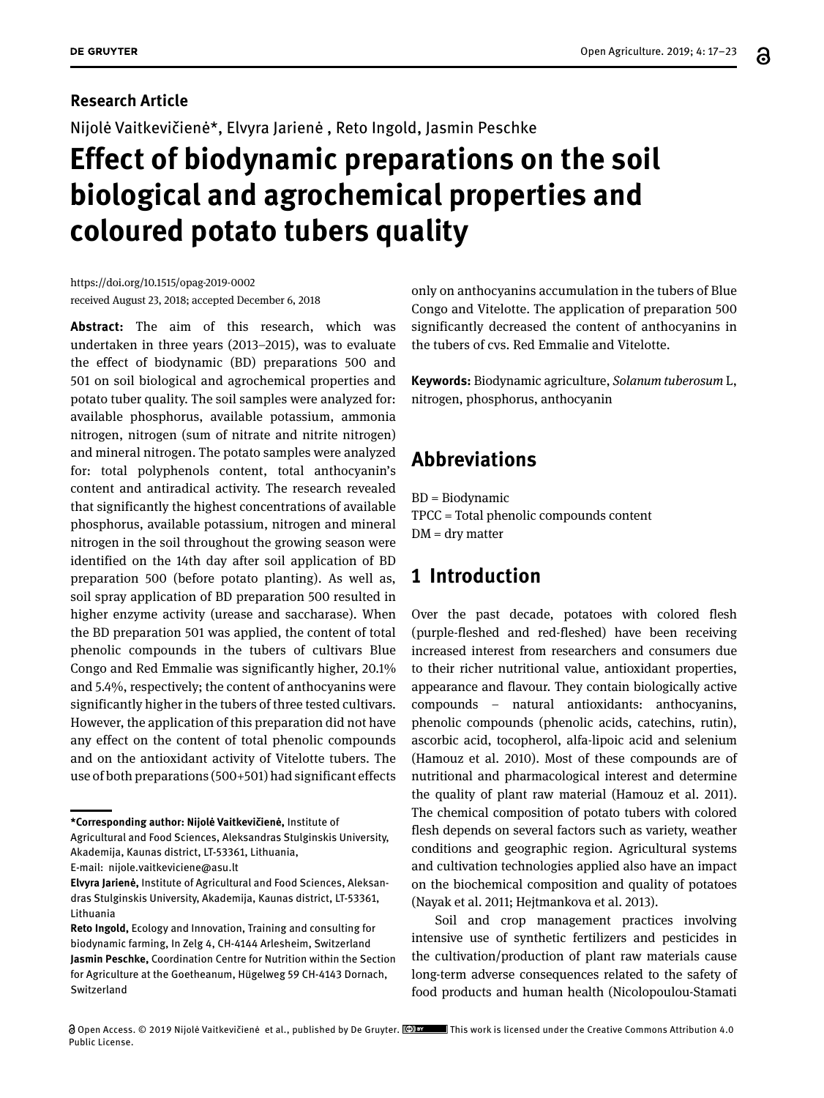# **Research Article** Nijolė Vaitkevičienė\*, Elvyra Jarienė , Reto Ingold, Jasmin Peschke **Effect of biodynamic preparations on the soil biological and agrochemical properties and coloured potato tubers quality**

https://doi.org/10.1515/opag-2019-0002 received August 23, 2018; accepted December 6, 2018

**Abstract:** The aim of this research, which was undertaken in three years (2013–2015), was to evaluate the effect of biodynamic (BD) preparations 500 and 501 on soil biological and agrochemical properties and potato tuber quality. The soil samples were analyzed for: available phosphorus, available potassium, ammonia nitrogen, nitrogen (sum of nitrate and nitrite nitrogen) and mineral nitrogen. The potato samples were analyzed for: total polyphenols content, total anthocyanin's content and antiradical activity. The research revealed that significantly the highest concentrations of available phosphorus, available potassium, nitrogen and mineral nitrogen in the soil throughout the growing season were identified on the 14th day after soil application of BD preparation 500 (before potato planting). As well as, soil spray application of BD preparation 500 resulted in higher enzyme activity (urease and saccharase). When the BD preparation 501 was applied, the content of total phenolic compounds in the tubers of cultivars Blue Congo and Red Emmalie was significantly higher, 20.1% and 5.4%, respectively; the content of anthocyanins were significantly higher in the tubers of three tested cultivars. However, the application of this preparation did not have any effect on the content of total phenolic compounds and on the antioxidant activity of Vitelotte tubers. The use of both preparations (500+501) had significant effects

only on anthocyanins accumulation in the tubers of Blue Congo and Vitelotte. The application of preparation 500 significantly decreased the content of anthocyanins in the tubers of cvs. Red Emmalie and Vitelotte.

**Keywords:** Biodynamic agriculture, *Solanum tuberosum* L, nitrogen, phosphorus, anthocyanin

# **Abbreviations**

BD = Biodynamic TPCC = Total phenolic compounds content  $DM = dry$  matter

# **1 Introduction**

Over the past decade, potatoes with colored flesh (purple-fleshed and red-fleshed) have been receiving increased interest from researchers and consumers due to their richer nutritional value, antioxidant properties, appearance and flavour. They contain biologically active compounds – natural antioxidants: anthocyanins, phenolic compounds (phenolic acids, catechins, rutin), ascorbic acid, tocopherol, alfa-lipoic acid and selenium (Hamouz et al. 2010). Most of these compounds are of nutritional and pharmacological interest and determine the quality of plant raw material (Hamouz et al. 2011). The chemical composition of potato tubers with colored flesh depends on several factors such as variety, weather conditions and geographic region. Agricultural systems and cultivation technologies applied also have an impact on the biochemical composition and quality of potatoes (Nayak et al. 2011; Hejtmankova et al. 2013).

Soil and crop management practices involving intensive use of synthetic fertilizers and pesticides in the cultivation/production of plant raw materials cause long-term adverse consequences related to the safety of food products and human health (Nicolopoulou-Stamati

**<sup>\*</sup>Corresponding author: Nijolė Vaitkevičienė,** Institute of Agricultural and Food Sciences, Aleksandras Stulginskis University,

Akademija, Kaunas district, LT-53361, Lithuania,

E-mail: nijole.vaitkeviciene@asu.lt

**Elvyra Jarienė,** Institute of Agricultural and Food Sciences, Aleksandras Stulginskis University, Akademija, Kaunas district, LT-53361, Lithuania

**Reto Ingold,** Ecology and Innovation, Training and consulting for biodynamic farming, In Zelg 4, CH-4144 Arlesheim, Switzerland **Jasmin Peschke,** Coordination Centre for Nutrition within the Section for Agriculture at the Goetheanum, Hügelweg 59 CH-4143 Dornach, Switzerland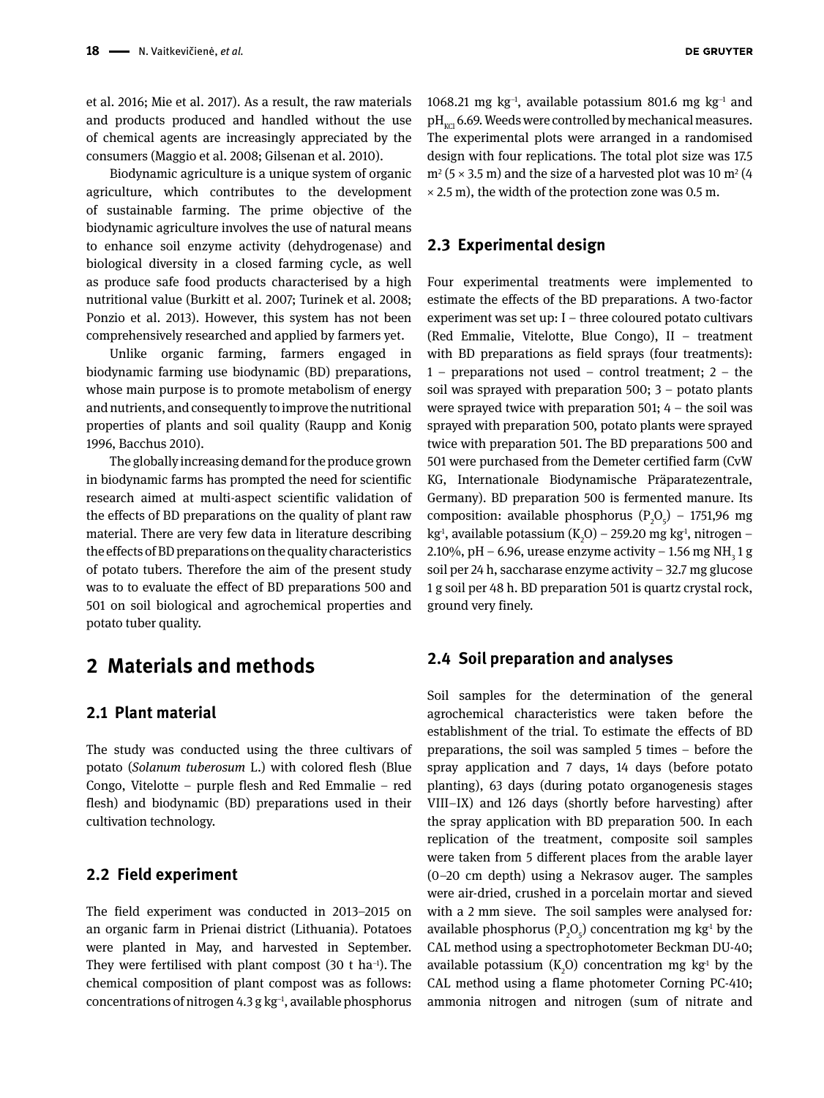et al. 2016; Mie et al. 2017). As a result, the raw materials and products produced and handled without the use of chemical agents are increasingly appreciated by the consumers (Maggio et al. 2008; Gilsenan et al. 2010).

Biodynamic agriculture is a unique system of organic agriculture, which contributes to the development of sustainable farming. The prime objective of the biodynamic agriculture involves the use of natural means to enhance soil enzyme activity (dehydrogenase) and biological diversity in a closed farming cycle, as well as produce safe food products characterised by a high nutritional value (Burkitt et al. 2007; Turinek et al. 2008; Ponzio et al. 2013). However, this system has not been comprehensively researched and applied by farmers yet.

Unlike organic farming, farmers engaged in biodynamic farming use biodynamic (BD) preparations, whose main purpose is to promote metabolism of energy and nutrients, and consequently to improve the nutritional properties of plants and soil quality (Raupp and Konig 1996, Bacchus 2010).

The globally increasing demand for the produce grown in biodynamic farms has prompted the need for scientific research aimed at multi-aspect scientific validation of the effects of BD preparations on the quality of plant raw material. There are very few data in literature describing the effects of BD preparations on the quality characteristics of potato tubers. Therefore the aim of the present study was to to evaluate the effect of BD preparations 500 and 501 on soil biological and agrochemical properties and potato tuber quality.

### **2 Materials and methods**

#### **2.1 Plant material**

The study was conducted using the three cultivars of potato (*Solanum tuberosum* L.) with colored flesh (Blue Congo, Vitelotte – purple flesh and Red Emmalie – red flesh) and biodynamic (BD) preparations used in their cultivation technology.

#### **2.2 Field experiment**

The field experiment was conducted in 2013–2015 on an organic farm in Prienai district (Lithuania). Potatoes were planted in May, and harvested in September. They were fertilised with plant compost (30 t ha<sup>-1</sup>). The chemical composition of plant compost was as follows: concentrations of nitrogen 4.3 g kg−1, available phosphorus 1068.21 mg kg−1, available potassium 801.6 mg kg−1 and  $pH<sub>tot</sub>$  6.69. Weeds were controlled by mechanical measures. The experimental plots were arranged in a randomised design with four replications. The total plot size was 17.5  $m^2$  (5  $\times$  3.5 m) and the size of a harvested plot was 10 m<sup>2</sup> (4  $\times$  2.5 m), the width of the protection zone was 0.5 m.

#### **2.3 Experimental design**

Four experimental treatments were implemented to estimate the effects of the BD preparations. A two-factor experiment was set up: I – three coloured potato cultivars (Red Emmalie, Vitelotte, Blue Congo), II – treatment with BD preparations as field sprays (four treatments): 1 – preparations not used – control treatment; 2 – the soil was sprayed with preparation 500; 3 – potato plants were sprayed twice with preparation 501;  $4 -$  the soil was sprayed with preparation 500, potato plants were sprayed twice with preparation 501. The BD preparations 500 and 501 were purchased from the Demeter certified farm (CvW KG, Internationale Biodynamische Präparatezentrale, Germany). BD preparation 500 is fermented manure. Its composition: available phosphorus  $(P_2O_5)$  – 1751,96 mg kg<sup>1</sup>, available potassium (K<sub>2</sub>O) – 259.20 mg kg<sup>1</sup>, nitrogen – 2.10%, pH – 6.96, urease enzyme activity – 1.56 mg NH<sub>3</sub> 1 g soil per 24 h, saccharase enzyme activity – 32.7 mg glucose 1 g soil per 48 h. BD preparation 501 is quartz crystal rock, ground very finely.

#### **2.4 Soil preparation and analyses**

Soil samples for the determination of the general agrochemical characteristics were taken before the establishment of the trial. To estimate the effects of BD preparations, the soil was sampled 5 times – before the spray application and 7 days, 14 days (before potato planting), 63 days (during potato organogenesis stages VIII–IX) and 126 days (shortly before harvesting) after the spray application with BD preparation 500. In each replication of the treatment, composite soil samples were taken from 5 different places from the arable layer (0–20 cm depth) using a Nekrasov auger. The samples were air-dried, crushed in a porcelain mortar and sieved with a 2 mm sieve. The soil samples were analysed for*:*  available phosphorus  $(P_2O_5)$  concentration mg kg<sup>1</sup> by the CAL method using a spectrophotometer Beckman DU-40; available potassium  $(K_2O)$  concentration mg kg<sup>1</sup> by the CAL method using a flame photometer Corning PC-410; ammonia nitrogen and nitrogen (sum of nitrate and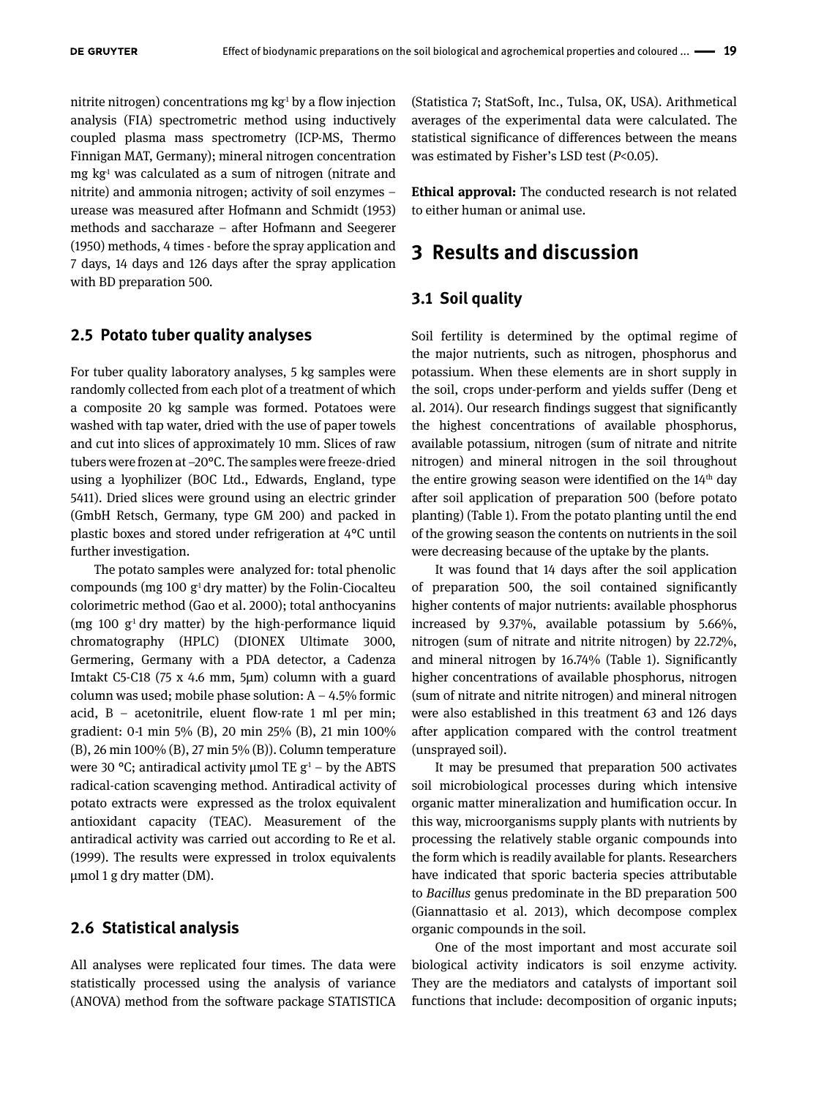nitrite nitrogen) concentrations mg  $kg<sup>1</sup>$  by a flow injection analysis (FIA) spectrometric method using inductively coupled plasma mass spectrometry (ICP-MS, Thermo Finnigan MAT, Germany); mineral nitrogen concentration  $mg \, kg<sup>1</sup>$  was calculated as a sum of nitrogen (nitrate and nitrite) and ammonia nitrogen; activity of soil enzymes – urease was measured after Hofmann and Schmidt (1953) methods and saccharaze – after Hofmann and Seegerer (1950) methods, 4 times - before the spray application and 7 days, 14 days and 126 days after the spray application with BD preparation 500.

### **2.5 Potato tuber quality analyses**

For tuber quality laboratory analyses, 5 kg samples were randomly collected from each plot of a treatment of which a composite 20 kg sample was formed. Potatoes were washed with tap water, dried with the use of paper towels and cut into slices of approximately 10 mm. Slices of raw tubers were frozen at −20°C. The samples were freeze-dried using a lyophilizer (BOC Ltd., Edwards, England, type 5411). Dried slices were ground using an electric grinder (GmbH Retsch, Germany, type GM 200) and packed in plastic boxes and stored under refrigeration at 4°C until further investigation.

The potato samples were analyzed for: total phenolic compounds (mg 100  $g<sup>1</sup>$  dry matter) by the Folin-Ciocalteu colorimetric method (Gao et al. 2000); total anthocyanins (mg 100  $g<sup>1</sup>$  dry matter) by the high-performance liquid chromatography (HPLC) (DIONEX Ultimate 3000, Germering, Germany with a PDA detector, a Cadenza Imtakt C5-C18 (75 x 4.6 mm, 5µm) column with a guard column was used; mobile phase solution:  $A - 4.5\%$  formic acid,  $B -$  acetonitrile, eluent flow-rate 1 ml per min; gradient: 0-1 min 5% (B), 20 min 25% (B), 21 min 100% (B), 26 min 100% (B), 27 min 5% (B)). Column temperature were 30 °C; antiradical activity  $\mu$ mol TE g<sup>1</sup> – by the ABTS radical-cation scavenging method. Antiradical activity of potato extracts were expressed as the trolox equivalent antioxidant capacity (TEAC). Measurement of the antiradical activity was carried out according to Re et al. (1999). The results were expressed in trolox equivalents μmol 1 g dry matter (DM).

#### **2.6 Statistical analysis**

All analyses were replicated four times. The data were statistically processed using the analysis of variance (ANOVA) method from the software package STATISTICA (Statistica 7; StatSoft, Inc., Tulsa, OK, USA). Arithmetical averages of the experimental data were calculated. The statistical significance of differences between the means was estimated by Fisher's LSD test (*P*<0.05).

**Ethical approval:** The conducted research is not related to either human or animal use.

### **3 Results and discussion**

#### **3.1 Soil quality**

Soil fertility is determined by the optimal regime of the major nutrients, such as nitrogen, phosphorus and potassium. When these elements are in short supply in the soil, crops under-perform and yields suffer (Deng et al. 2014). Our research findings suggest that significantly the highest concentrations of available phosphorus, available potassium, nitrogen (sum of nitrate and nitrite nitrogen) and mineral nitrogen in the soil throughout the entire growing season were identified on the  $14<sup>th</sup>$  day after soil application of preparation 500 (before potato planting) (Table 1). From the potato planting until the end of the growing season the contents on nutrients in the soil were decreasing because of the uptake by the plants.

It was found that 14 days after the soil application of preparation 500, the soil contained significantly higher contents of major nutrients: available phosphorus increased by 9.37%, available potassium by 5.66%, nitrogen (sum of nitrate and nitrite nitrogen) by 22.72%, and mineral nitrogen by 16.74% (Table 1). Significantly higher concentrations of available phosphorus, nitrogen (sum of nitrate and nitrite nitrogen) and mineral nitrogen were also established in this treatment 63 and 126 days after application compared with the control treatment (unsprayed soil).

It may be presumed that preparation 500 activates soil microbiological processes during which intensive organic matter mineralization and humification occur. In this way, microorganisms supply plants with nutrients by processing the relatively stable organic compounds into the form which is readily available for plants. Researchers have indicated that sporic bacteria species attributable to *Bacillus* genus predominate in the BD preparation 500 (Giannattasio et al. 2013), which decompose complex organic compounds in the soil.

One of the most important and most accurate soil biological activity indicators is soil enzyme activity. They are the mediators and catalysts of important soil functions that include: decomposition of organic inputs;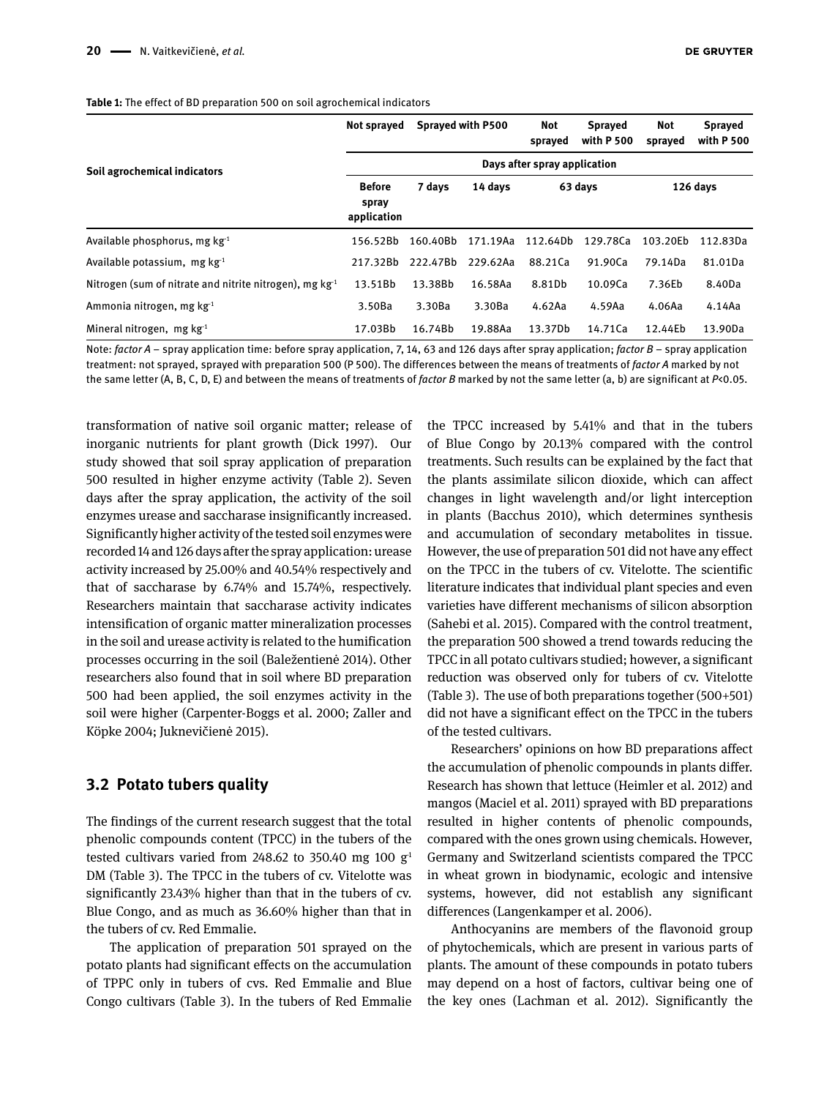#### **Table 1:** The effect of BD preparation 500 on soil agrochemical indicators

|                                                              | Not sprayed                           | Sprayed with P500 |          | Not<br>sprayed | <b>Spraved</b><br>with P 500 | Not<br>sprayed | <b>Sprayed</b><br>with P 500 |
|--------------------------------------------------------------|---------------------------------------|-------------------|----------|----------------|------------------------------|----------------|------------------------------|
| Soil agrochemical indicators                                 | Days after spray application          |                   |          |                |                              |                |                              |
|                                                              | <b>Before</b><br>spray<br>application | 7 days            | 14 days  | 63 days        |                              | 126 days       |                              |
| Available phosphorus, mg $kg-1$                              | 156.52Bb                              | 160.40Bb          | 171.19Aa | 112.64Db       | 129.78Ca                     | 103.20Eb       | 112.83Da                     |
| Available potassium, mg $kg^{-1}$                            | 217.32Bb                              | 222.47Bb          | 229.62Aa | 88.21Ca        | 91.90Ca                      | 79.14Da        | 81.01Da                      |
| Nitrogen (sum of nitrate and nitrite nitrogen), mg $kg^{-1}$ | 13.51Bb                               | 13.38Bb           | 16.58Aa  | 8.81Db         | 10.09Ca                      | 7.36Eb         | 8.40Da                       |
| Ammonia nitrogen, mg $kg-1$                                  | 3.50Ba                                | 3.30Ba            | 3.30Ba   | 4.62Aa         | 4.59Aa                       | 4.06Aa         | 4.14Aa                       |
| Mineral nitrogen, mg $kg^{-1}$                               | 17.03Bb                               | 16.74Bb           | 19.88Aa  | 13.37Db        | 14.71Ca                      | 12.44Eb        | 13.90Da                      |

Note: *factor A* – spray application time: before spray application, 7, 14, 63 and 126 days after spray application; *factor B* – spray application treatment: not sprayed, sprayed with preparation 500 (P 500). The differences between the means of treatments of *factor A* marked by not the same letter (A, B, C, D, E) and between the means of treatments of *factor B* marked by not the same letter (a, b) are significant at *P*<0.05.

transformation of native soil organic matter; release of inorganic nutrients for plant growth (Dick 1997). Our study showed that soil spray application of preparation 500 resulted in higher enzyme activity (Table 2). Seven days after the spray application, the activity of the soil enzymes urease and saccharase insignificantly increased. Significantly higher activity of the tested soil enzymes were recorded 14 and 126 days after the spray application: urease activity increased by 25.00% and 40.54% respectively and that of saccharase by 6.74% and 15.74%, respectively. Researchers maintain that saccharase activity indicates intensification of organic matter mineralization processes in the soil and urease activity is related to the humification processes occurring in the soil (Baležentienė 2014). Other researchers also found that in soil where BD preparation 500 had been applied, the soil enzymes activity in the soil were higher (Carpenter-Boggs et al. 2000; Zaller and Köpke 2004; Juknevičienė 2015).

### **3.2 Potato tubers quality**

The findings of the current research suggest that the total phenolic compounds content (TPCC) in the tubers of the tested cultivars varied from 248.62 to 350.40 mg 100  $g<sup>1</sup>$ DM (Table 3). The TPCC in the tubers of cv. Vitelotte was significantly 23.43% higher than that in the tubers of cv. Blue Congo, and as much as 36.60% higher than that in the tubers of cv. Red Emmalie.

The application of preparation 501 sprayed on the potato plants had significant effects on the accumulation of TPPC only in tubers of cvs. Red Emmalie and Blue Congo cultivars (Table 3). In the tubers of Red Emmalie

the TPCC increased by 5.41% and that in the tubers of Blue Congo by 20.13% compared with the control treatments. Such results can be explained by the fact that the plants assimilate silicon dioxide, which can affect changes in light wavelength and/or light interception in plants (Bacchus 2010)*,* which determines synthesis and accumulation of secondary metabolites in tissue. However, the use of preparation 501 did not have any effect on the TPCC in the tubers of cv. Vitelotte. The scientific literature indicates that individual plant species and even varieties have different mechanisms of silicon absorption (Sahebi et al. 2015). Compared with the control treatment, the preparation 500 showed a trend towards reducing the TPCC in all potato cultivars studied; however, a significant reduction was observed only for tubers of cv. Vitelotte (Table 3). The use of both preparations together (500+501) did not have a significant effect on the TPCC in the tubers of the tested cultivars.

Researchers' opinions on how BD preparations affect the accumulation of phenolic compounds in plants differ. Research has shown that lettuce (Heimler et al. 2012) and mangos (Maciel et al. 2011) sprayed with BD preparations resulted in higher contents of phenolic compounds, compared with the ones grown using chemicals. However, Germany and Switzerland scientists compared the TPCC in wheat grown in biodynamic, ecologic and intensive systems, however, did not establish any significant differences (Langenkamper et al. 2006).

Anthocyanins are members of the flavonoid group of phytochemicals, which are present in various parts of plants. The amount of these compounds in potato tubers may depend on a host of factors, cultivar being one of the key ones (Lachman et al. 2012). Significantly the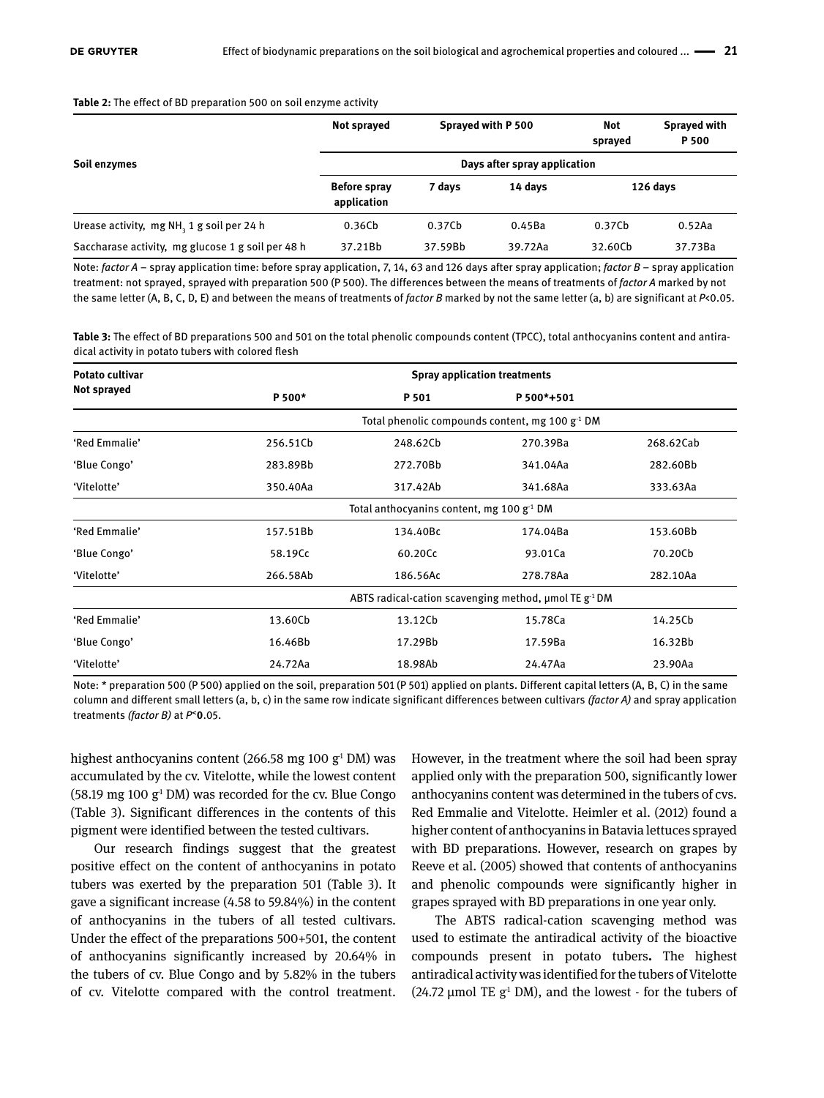#### **Table 2:** The effect of BD preparation 500 on soil enzyme activity

|                                                   | Not sprayed                        | Sprayed with P 500 |         | Not<br>sprayed | Sprayed with<br>P <sub>500</sub> |  |  |
|---------------------------------------------------|------------------------------------|--------------------|---------|----------------|----------------------------------|--|--|
| Soil enzymes                                      | Days after spray application       |                    |         |                |                                  |  |  |
|                                                   | <b>Before spray</b><br>application | 7 days             | 14 davs | 126 days       |                                  |  |  |
| Urease activity, mg NH, 1 g soil per 24 h         | 0.36Cb                             | 0.37Cb             | 0.45Ba  | 0.37Cb         | 0.52Aa                           |  |  |
| Saccharase activity, mg glucose 1 g soil per 48 h | 37.21Bb                            | 37.59Bb            | 39.72Aa | 32.60Cb        | 37.73Ba                          |  |  |

Note: *factor A* – spray application time: before spray application, 7, 14, 63 and 126 days after spray application; *factor B* – spray application treatment: not sprayed, sprayed with preparation 500 (P 500). The differences between the means of treatments of *factor A* marked by not the same letter (A, B, C, D, E) and between the means of treatments of *factor B* marked by not the same letter (a, b) are significant at *P*<0.05.

**Table 3:** The effect of BD preparations 500 and 501 on the total phenolic compounds content (TPCC), total anthocyanins content and antiradical activity in potato tubers with colored flesh

| <b>Potato cultivar</b> | <b>Spray application treatments</b>                                    |                                                      |            |           |  |  |  |  |  |
|------------------------|------------------------------------------------------------------------|------------------------------------------------------|------------|-----------|--|--|--|--|--|
| Not sprayed            | P 500*                                                                 | P 501                                                | P 500*+501 |           |  |  |  |  |  |
|                        |                                                                        | Total phenolic compounds content, mg 100 $g^{-1}$ DM |            |           |  |  |  |  |  |
| 'Red Emmalie'          | 256.51Cb                                                               | 248.62Cb                                             | 270.39Ba   | 268.62Cab |  |  |  |  |  |
| 'Blue Congo'           | 283.89Bb                                                               | 272.70Bb                                             | 341.04Aa   | 282.60Bb  |  |  |  |  |  |
| 'Vitelotte'            | 350.40Aa                                                               | 317.42Ab                                             | 341.68Aa   | 333.63Aa  |  |  |  |  |  |
|                        | Total anthocyanins content, mg 100 $g^{-1}$ DM                         |                                                      |            |           |  |  |  |  |  |
| 'Red Emmalie'          | 157.51Bb                                                               | 134.40Bc                                             | 174.04Ba   | 153.60Bb  |  |  |  |  |  |
| 'Blue Congo'           | 58.19Cc                                                                | 60.20Cc                                              | 93.01Ca    | 70.20Cb   |  |  |  |  |  |
| 'Vitelotte'            | 266.58Ab                                                               | 186.56Ac                                             | 278.78Aa   | 282.10Aa  |  |  |  |  |  |
|                        | ABTS radical-cation scavenging method, $\mu$ mol TE g <sup>-1</sup> DM |                                                      |            |           |  |  |  |  |  |
| 'Red Emmalie'          | 13.60Cb                                                                | 13.12Cb                                              | 15.78Ca    | 14.25Cb   |  |  |  |  |  |
| 'Blue Congo'           | 16.46Bb                                                                | 17.29Bb                                              | 17.59Ba    | 16.32Bb   |  |  |  |  |  |
| 'Vitelotte'            | 24.72Aa                                                                | 18.98Ab                                              | 24.47Aa    | 23.90Aa   |  |  |  |  |  |

Note: \* preparation 500 (P 500) applied on the soil, preparation 501 (P 501) applied on plants. Different capital letters (A, B, C) in the same column and different small letters (a, b, c) in the same row indicate significant differences between cultivars *(factor A)* and spray application treatments *(factor B)* at *P***˂0**.05.

highest anthocyanins content (266.58 mg 100 g<sup>1</sup> DM) was accumulated by the cv. Vitelotte, while the lowest content (58.19 mg 100  $g<sup>1</sup>$  DM) was recorded for the cv. Blue Congo (Table 3). Significant differences in the contents of this pigment were identified between the tested cultivars.

Our research findings suggest that the greatest positive effect on the content of anthocyanins in potato tubers was exerted by the preparation 501 (Table 3). It gave a significant increase (4.58 to 59.84%) in the content of anthocyanins in the tubers of all tested cultivars. Under the effect of the preparations 500+501, the content of anthocyanins significantly increased by 20.64% in the tubers of cv. Blue Congo and by 5.82% in the tubers of cv. Vitelotte compared with the control treatment. However, in the treatment where the soil had been spray applied only with the preparation 500, significantly lower anthocyanins content was determined in the tubers of cvs. Red Emmalie and Vitelotte. Heimler et al. (2012) found a higher content of anthocyanins in Batavia lettuces sprayed with BD preparations. However, research on grapes by Reeve et al. (2005) showed that contents of anthocyanins and phenolic compounds were significantly higher in grapes sprayed with BD preparations in one year only.

The ABTS radical-cation scavenging method was used to estimate the antiradical activity of the bioactive compounds present in potato tubers**.** The highest antiradical activity was identified for the tubers of Vitelotte (24.72 µmol TE  $g<sup>1</sup>$  DM), and the lowest - for the tubers of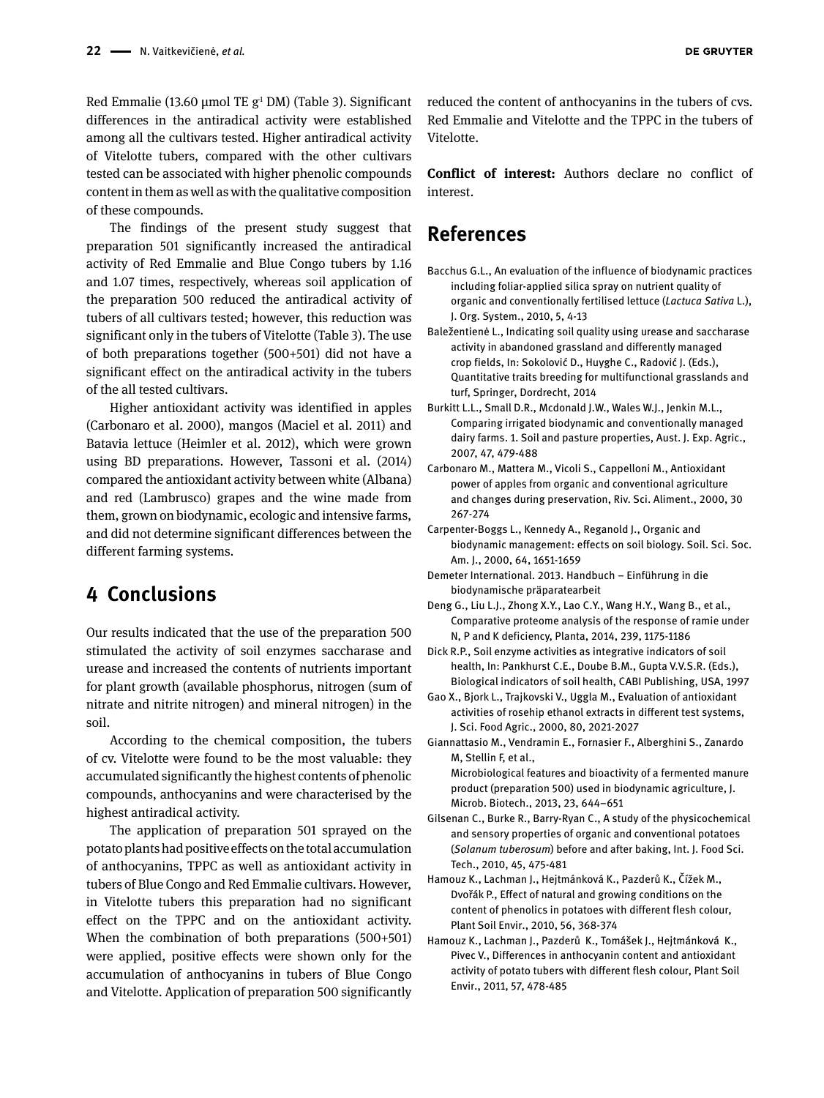Red Emmalie (13.60 µmol TE  $g<sup>1</sup>$  DM) (Table 3). Significant differences in the antiradical activity were established among all the cultivars tested. Higher antiradical activity of Vitelotte tubers, compared with the other cultivars tested can be associated with higher phenolic compounds content in them as well as with the qualitative composition of these compounds.

The findings of the present study suggest that preparation 501 significantly increased the antiradical activity of Red Emmalie and Blue Congo tubers by 1.16 and 1.07 times, respectively, whereas soil application of the preparation 500 reduced the antiradical activity of tubers of all cultivars tested; however, this reduction was significant only in the tubers of Vitelotte (Table 3). The use of both preparations together (500+501) did not have a significant effect on the antiradical activity in the tubers of the all tested cultivars.

Higher antioxidant activity was identified in apples (Carbonaro et al. 2000), mangos (Maciel et al. 2011) and Batavia lettuce (Heimler et al. 2012), which were grown using BD preparations. However, Tassoni et al. (2014) compared the antioxidant activity between white (Albana) and red (Lambrusco) grapes and the wine made from them, grown on biodynamic, ecologic and intensive farms, and did not determine significant differences between the different farming systems.

# **4 Conclusions**

Our results indicated that the use of the preparation 500 stimulated the activity of soil enzymes saccharase and urease and increased the contents of nutrients important for plant growth (available phosphorus, nitrogen (sum of nitrate and nitrite nitrogen) and mineral nitrogen) in the soil.

According to the chemical composition, the tubers of cv. Vitelotte were found to be the most valuable: they accumulated significantly the highest contents of phenolic compounds, anthocyanins and were characterised by the highest antiradical activity.

The application of preparation 501 sprayed on the potato plants had positive effects on the total accumulation of anthocyanins, TPPC as well as antioxidant activity in tubers of Blue Congo and Red Emmalie cultivars. However, in Vitelotte tubers this preparation had no significant effect on the TPPC and on the antioxidant activity. When the combination of both preparations (500+501) were applied, positive effects were shown only for the accumulation of anthocyanins in tubers of Blue Congo and Vitelotte. Application of preparation 500 significantly reduced the content of anthocyanins in the tubers of cvs. Red Emmalie and Vitelotte and the TPPC in the tubers of Vitelotte.

**Conflict of interest:** Authors declare no conflict of interest

### **References**

- Bacchus G.L., An evaluation of the influence of biodynamic practices including foliar-applied silica spray on nutrient quality of organic and conventionally fertilised lettuce (*Lactuca Sativa* L.), J. Org. System., 2010, 5, 4-13
- Baležentienė L., Indicating soil quality using urease and saccharase activity in abandoned grassland and differently managed crop fields, In: Sokolović D., Huyghe C., Radović J. (Eds.), Quantitative traits breeding for multifunctional grasslands and turf, Springer, Dordrecht, 2014
- Burkitt L.L., Small D.R., Mcdonald J.W., Wales W.J., Jenkin M.L., Comparing irrigated biodynamic and conventionally managed dairy farms. 1. Soil and pasture properties, Aust. J. Exp. Agric., 2007, 47, 479-488
- Carbonaro M., Mattera M., Vicoli S., Cappelloni M., Antioxidant power of apples from organic and conventional agriculture and changes during preservation, Riv. Sci. Aliment., 2000, 30 267-274
- Carpenter-Boggs L., Kennedy A., Reganold J., Organic and biodynamic management: effects on soil biology. Soil. Sci. Soc. Am. J., 2000, 64, 1651-1659
- Demeter International. 2013. Handbuch Einführung in die biodynamische präparatearbeit
- Deng G., Liu L.J., Zhong X.Y., Lao C.Y., Wang H.Y., Wang B., et al., Comparative proteome analysis of the response of ramie under N, P and K deficiency, Planta, 2014, 239, 1175-1186
- Dick R.P., Soil enzyme activities as integrative indicators of soil health, In: Pankhurst C.E., Doube B.M., Gupta V.V.S.R. (Eds.), Biological indicators of soil health, CABI Publishing, USA, 1997
- Gao X., Bjork L., Trajkovski V., Uggla M., Evaluation of antioxidant activities of rosehip ethanol extracts in different test systems, J. Sci. Food Agric., 2000, 80, 2021-2027
- Giannattasio M., Vendramin E., Fornasier F., Alberghini S., Zanardo M, Stellin F, et al.,

Microbiological features and bioactivity of a fermented manure product (preparation 500) used in biodynamic agriculture, J. Microb. Biotech., 2013, 23, 644–651

- Gilsenan C., Burke R., Barry-Ryan C., A study of the physicochemical and sensory properties of organic and conventional potatoes (*Solanum tuberosum*) before and after baking, Int. J. Food Sci. Tech., 2010, 45, 475-481
- Hamouz K., Lachman J., Hejtmánková K., Pazderů K., Čížek M., Dvořák P., Effect of natural and growing conditions on the content of phenolics in potatoes with different flesh colour, Plant Soil Envir., 2010, 56, 368-374
- Hamouz K., Lachman J., Pazderů K., Tomášek J., Hejtmánková K., Pivec V., Differences in anthocyanin content and antioxidant activity of potato tubers with different flesh colour, Plant Soil Envir., 2011, 57, 478-485